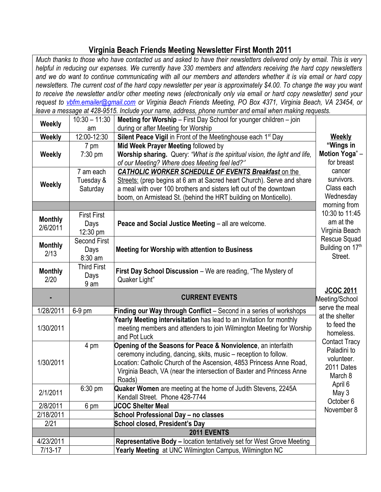## **Virginia Beach Friends Meeting Newsletter First Month 2011**

| Much thanks to those who have contacted us and asked to have their newsletters delivered only by email. This is very   |                     |                                                                                                                                 |                      |
|------------------------------------------------------------------------------------------------------------------------|---------------------|---------------------------------------------------------------------------------------------------------------------------------|----------------------|
| helpful in reducing our expenses. We currently have 330 members and attenders receiving the hard copy newsletters      |                     |                                                                                                                                 |                      |
| and we do want to continue communicating with all our members and attenders whether it is via email or hard copy       |                     |                                                                                                                                 |                      |
| newsletters. The current cost of the hard copy newsletter per year is approximately \$4.00. To change the way you want |                     |                                                                                                                                 |                      |
| to receive the newsletter and/or other meeting news (electronically only via email or hard copy newsletter) send your  |                     |                                                                                                                                 |                      |
|                                                                                                                        |                     | request to vbfm.emailer@gmail.com or Virginia Beach Friends Meeting, PO Box 4371, Virginia Beach, VA 23454, or                  |                      |
|                                                                                                                        |                     | leave a message at 428-9515. Include your name, address, phone number and email when making requests.                           |                      |
|                                                                                                                        | $10:30 - 11:30$     | Meeting for Worship - First Day School for younger children - join                                                              |                      |
| <b>Weekly</b>                                                                                                          | am                  | during or after Meeting for Worship                                                                                             |                      |
| Weekly                                                                                                                 | 12:00-12:30         | Silent Peace Vigil in Front of the Meetinghouse each 1 <sup>st</sup> Day                                                        | <b>Weekly</b>        |
|                                                                                                                        | 7 pm                | Mid Week Prayer Meeting followed by                                                                                             | "Wings in            |
| Weekly                                                                                                                 | 7:30 pm             | Worship sharing. Query: "What is the spiritual vision, the light and life,                                                      | Motion Yoga"-        |
|                                                                                                                        |                     | of our Meeting? Where does Meeting feel led?"                                                                                   | for breast           |
|                                                                                                                        | 7 am each           | CATHOLIC WORKER SCHEDULE OF EVENTS Breakfast on the                                                                             | cancer               |
|                                                                                                                        | Tuesday &           | Streets: (prep begins at 6 am at Sacred heart Church). Serve and share                                                          | survivors.           |
| <b>Weekly</b>                                                                                                          | Saturday            | a meal with over 100 brothers and sisters left out of the downtown                                                              | Class each           |
|                                                                                                                        |                     | boom, on Armistead St. (behind the HRT building on Monticello).                                                                 | Wednesday            |
|                                                                                                                        |                     |                                                                                                                                 | morning from         |
|                                                                                                                        | <b>First First</b>  |                                                                                                                                 | 10:30 to 11:45       |
| <b>Monthly</b>                                                                                                         | Days                | Peace and Social Justice Meeting - all are welcome.                                                                             | am at the            |
| 2/6/2011                                                                                                               | 12:30 pm            |                                                                                                                                 | Virginia Beach       |
|                                                                                                                        | <b>Second First</b> |                                                                                                                                 | Rescue Squad         |
| <b>Monthly</b>                                                                                                         | Days                | <b>Meeting for Worship with attention to Business</b>                                                                           | Building on 17th     |
| 2/13                                                                                                                   | 8:30 am             |                                                                                                                                 | Street.              |
|                                                                                                                        |                     |                                                                                                                                 |                      |
|                                                                                                                        |                     |                                                                                                                                 |                      |
| <b>Monthly</b>                                                                                                         | <b>Third First</b>  | First Day School Discussion - We are reading, "The Mystery of                                                                   |                      |
| 2/20                                                                                                                   | Days                | Quaker Light"                                                                                                                   |                      |
|                                                                                                                        | 9 am                |                                                                                                                                 | <b>JCOC 2011</b>     |
|                                                                                                                        |                     | <b>CURRENT EVENTS</b>                                                                                                           | Meeting/School       |
|                                                                                                                        |                     |                                                                                                                                 | serve the meal       |
| 1/28/2011                                                                                                              | 6-9 pm              | Finding our Way through Conflict - Second in a series of workshops                                                              | at the shelter       |
|                                                                                                                        |                     | Yearly Meeting intervisitation has lead to an Invitation for monthly                                                            | to feed the          |
| 1/30/2011                                                                                                              |                     | meeting members and attenders to join Wilmington Meeting for Worship                                                            | homeless             |
|                                                                                                                        |                     | and Pot Luck                                                                                                                    | <b>Contact Tracy</b> |
|                                                                                                                        | 4 pm                | Opening of the Seasons for Peace & Nonviolence, an interfaith                                                                   | Paladini to          |
|                                                                                                                        |                     | ceremony including, dancing, skits, music – reception to follow.                                                                | volunteer.           |
| 1/30/2011                                                                                                              |                     | ocation: Catholic Church of the Ascension, 4853 Princess Anne Road,                                                             | 2011 Dates           |
|                                                                                                                        |                     | Virginia Beach, VA (near the intersection of Baxter and Princess Anne                                                           | March 8              |
|                                                                                                                        |                     | Roads)                                                                                                                          | April 6              |
| 2/1/2011                                                                                                               | $6:30$ pm           | Quaker Women are meeting at the home of Judith Stevens, 2245A                                                                   | May 3                |
|                                                                                                                        |                     | Kendall Street. Phone 428-7744                                                                                                  | October 6            |
| 2/8/2011                                                                                                               | 6 pm                | <b>JCOC Shelter Meal</b>                                                                                                        | November 8           |
| 2/18/2011                                                                                                              |                     | School Professional Day - no classes                                                                                            |                      |
| 2/21                                                                                                                   |                     | School closed, President's Day                                                                                                  |                      |
|                                                                                                                        |                     | 2011 EVENTS                                                                                                                     |                      |
| 4/23/2011<br>$7/13 - 17$                                                                                               |                     | Representative Body - location tentatively set for West Grove Meeting<br>Yearly Meeting at UNC Wilmington Campus, Wilmington NC |                      |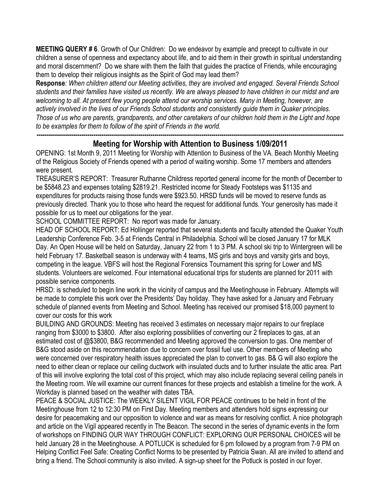**MEETING QUERY # 6**. Growth of Our Children: Do we endeavor by example and precept to cultivate in our children a sense of openness and expectancy about life, and to aid them in their growth in spiritual understanding and moral discernment? Do we share with them the faith that guides the practice of Friends, while encouraging them to develop their religious insights as the Spirit of God may lead them?

**Response***: When children attend our Meeting activities, they are involved and engaged. Several Friends School students and their families have visited us recently. We are always pleased to have children in our midst and are welcoming to all. At present few young people attend our worship services. Many in Meeting, however, are actively involved in the lives of our Friends School students and consistently guide them in Quaker principles. Those of us who are parents, grandparents, and other caretakers of our children hold them in the Light and hope to be examples for them to follow of the spirit of Friends in the world.*

## **------------------------------------------------------------------------------------------------------------------------------------------------------- Meeting for Worship with Attention to Business 1/09/2011**

OPENING: 1st Month 9, 2011 Meeting for Worship with Attention to Business of the VA. Beach Monthly Meeting of the Religious Society of Friends opened with a period of waiting worship. Some 17 members and attenders were present.

TREASURER'S REPORT: Treasurer Ruthanne Childress reported general income for the month of December to be \$5848.23 and expenses totaling \$2819.21. Restricted income for Steady Footsteps was \$1135 and expenditures for products raising those funds were \$923.50. HRSD funds will be moved to reserve funds as previously directed. Thank you to those who heard the request for additional funds. Your generosity has made it possible for us to meet our obligations for the year.

SCHOOL COMMITTEE REPORT: No report was made for January.

HEAD OF SCHOOL REPORT: Ed Hollinger reported that several students and faculty attended the Quaker Youth Leadership Conference Feb. 3-5 at Friends Central in Philadelphia. School will be closed January 17 for MLK Day. An Open House will be held on Saturday, January 22 from 1 to 3 PM. A school ski trip to Wintergreen will be held February 17. Basketball season is underway with 4 teams, MS girls and boys and varsity girls and boys, competing in the league. VBFS will host the Regional Forensics Tournament this spring for Lower and MS students. Volunteers are welcomed. Four international educational trips for students are planned for 2011 with possible service components.

HRSD: is scheduled to begin line work in the vicinity of campus and the Meetinghouse in February. Attempts will be made to complete this work over the Presidents' Day holiday. They have asked for a January and February schedule of planned events from Meeting and School. Meeting has received our promised \$18,000 payment to cover our costs for this work

BUILDING AND GROUNDS: Meeting has received 3 estimates on necessary major repairs to our fireplace ranging from \$3000 to \$3800. After also exploring possibilities of converting our 2 fireplaces to gas, at an estimated cost of @\$3800, B&G recommended and Meeting approved the conversion to gas. One member of B&G stood aside on this recommendation due to concern over fossil fuel use. Other members of Meeting who were concerned over respiratory health issues appreciated the plan to convert to gas. B& G will also explore the need to either clean or replace our ceiling ductwork with insulated ducts and to further insulate the attic area. Part of this will involve exploring the total cost of this project, which may also include replacing several ceiling panels in the Meeting room. We will examine our current finances for these projects and establish a timeline for the work. A Workday is planned based on the weather with dates TBA.

PEACE & SOCIAL JUSTICE: The WEEKLY SILENT VIGIL FOR PEACE continues to be held in front of the Meetinghouse from 12 to 12:30 PM on First Day. Meeting members and attenders hold signs expressing our desire for peacemaking and our opposition to violence and war as means for resolving conflict. A nice photograph and article on the Vigil appeared recently in The Beacon. The second in the series of dynamic events in the form of workshops on FINDING OUR WAY THROUGH CONFLICT: EXPLORING OUR PERSONAL CHOICES will be held January 28 in the Meetinghouse. A POTLUCK is scheduled for 6 pm followed by a program from 7-9 PM on Helping Conflict Feel Safe: Creating Conflict Norms to be presented by Patricia Swan. All are invited to attend and bring a friend. The School community is also invited. A sign-up sheet for the Potluck is posted in our foyer.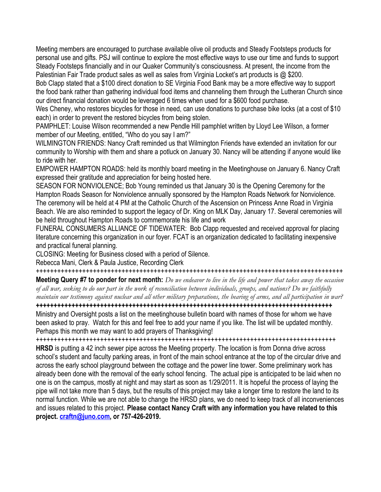Meeting members are encouraged to purchase available olive oil products and Steady Footsteps products for personal use and gifts. PSJ will continue to explore the most effective ways to use our time and funds to support Steady Footsteps financially and in our Quaker Community's consciousness. At present, the income from the Palestinian Fair Trade product sales as well as sales from Virginia Locket's art products is @ \$200.

Bob Clapp stated that a \$100 direct donation to SE Virginia Food Bank may be a more effective way to support the food bank rather than gathering individual food items and channeling them through the Lutheran Church since our direct financial donation would be leveraged 6 times when used for a \$600 food purchase.

Wes Cheney, who restores bicycles for those in need, can use donations to purchase bike locks (at a cost of \$10 each) in order to prevent the restored bicycles from being stolen.

PAMPHLET: Louise Wilson recommended a new Pendle Hill pamphlet written by Lloyd Lee Wilson, a former member of our Meeting, entitled, "Who do you say I am?"

WILMINGTON FRIENDS: Nancy Craft reminded us that Wilmington Friends have extended an invitation for our community to Worship with them and share a potluck on January 30. Nancy will be attending if anyone would like to ride with her.

EMPOWER HAMPTON ROADS: held its monthly board meeting in the Meetinghouse on January 6. Nancy Craft expressed their gratitude and appreciation for being hosted here.

SEASON FOR NONVIOLENCE; Bob Young reminded us that January 30 is the Opening Ceremony for the Hampton Roads Season for Nonviolence annually sponsored by the Hampton Roads Network for Nonviolence. The ceremony will be held at 4 PM at the Catholic Church of the Ascension on Princess Anne Road in Virginia Beach. We are also reminded to support the legacy of Dr. King on MLK Day, January 17. Several ceremonies will be held throughout Hampton Roads to commemorate his life and work

FUNERAL CONSUMERS ALLIANCE OF TIDEWATER: Bob Clapp requested and received approval for placing literature concerning this organization in our foyer. FCAT is an organization dedicated to facilitating inexpensive and practical funeral planning.

CLOSING: Meeting for Business closed with a period of Silence.

Rebecca Mani, Clerk & Paula Justice, Recording Clerk

++++++++++++++++++++++++++++++++++++++++++++++++++++++++++++++++++++++++++++++++++++++

**Meeting Query #7 to ponder for next month:** *Do we endeavor to live in the life and power that takes away the occasion of all war, seeking to do our part in the work of reconciliation between individuals, groups, and nations? Do we faithfully maintain our testimony against nuclear and all other military preparations, the bearing of arms, and all participation in war?* **+++++++++++++++++++++++++++++++++++++++++++++++++++++++++++++++++++++++++++++++++++**

Ministry and Oversight posts a list on the meetinghouse bulletin board with names of those for whom we have been asked to pray. Watch for this and feel free to add your name if you like. The list will be updated monthly. Perhaps this month we may want to add prayers of Thanksgiving!

++++++++++++++++++++++++++++++++++++++++++++++++++++++++++++++++++++++++++++++++++++

**HRSD** is putting a 42 inch sewer pipe across the Meeting property. The location is from Donna drive across school's student and faculty parking areas, in front of the main school entrance at the top of the circular drive and across the early school playground between the cottage and the power line tower. Some preliminary work has already been done with the removal of the early school fencing. The actual pipe is anticipated to be laid when no one is on the campus, mostly at night and may start as soon as 1/29/2011. It is hopeful the process of laying the pipe will not take more than 5 days, but the results of this project may take a longer time to restore the land to its normal function. While we are not able to change the HRSD plans, we do need to keep track of all inconveniences and issues related to this project. **Please contact Nancy Craft with any information you have related to this project. [craftn@juno.com,](mailto:craftn@juno.com) or 757-426-2019.**